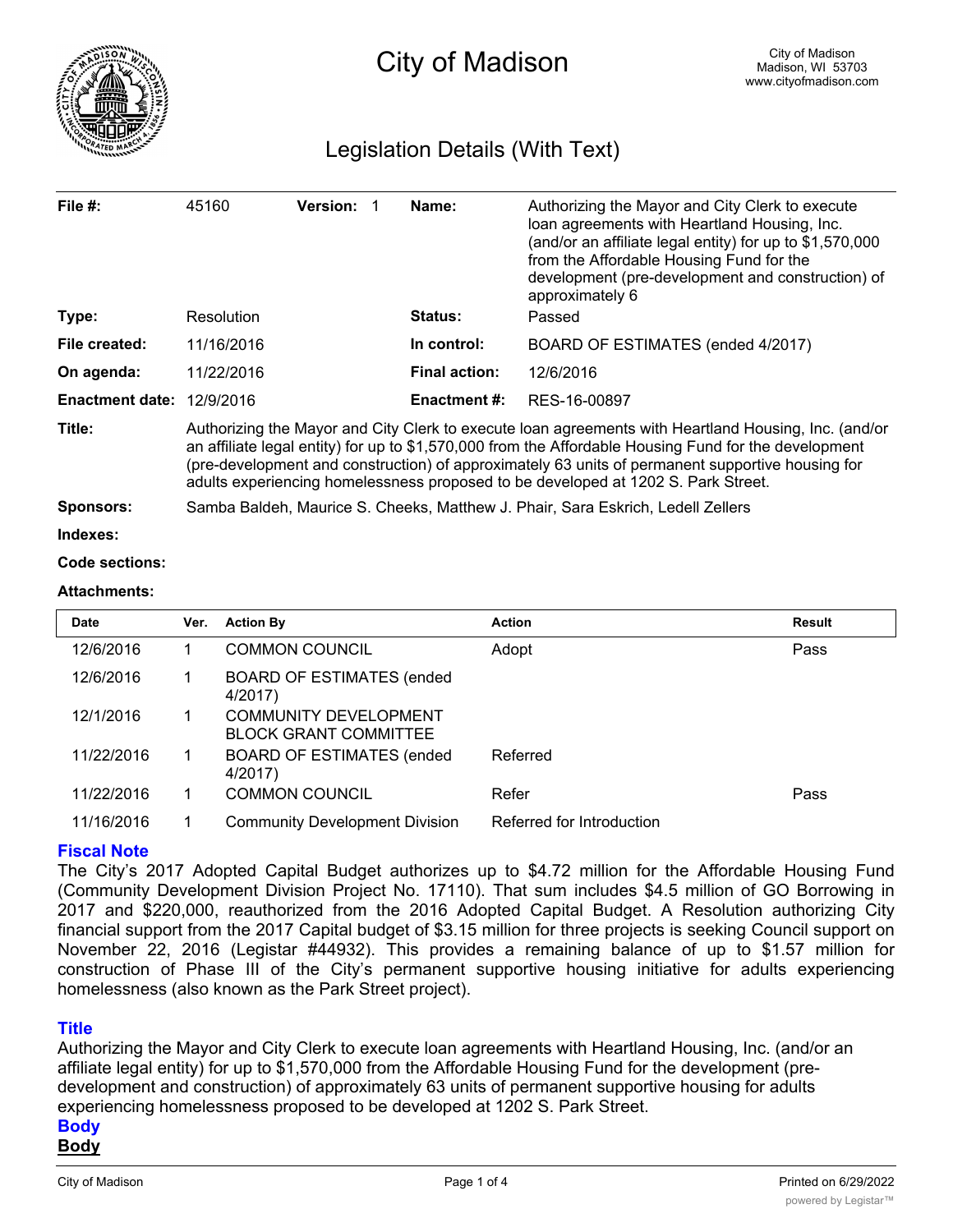

# Legislation Details (With Text)

| File $#$ :                  | 45160                                                                                                                                                                                                                                                                                                                                                                                                  | <b>Version:</b> |  | Name:                | Authorizing the Mayor and City Clerk to execute<br>loan agreements with Heartland Housing, Inc.<br>(and/or an affiliate legal entity) for up to \$1,570,000<br>from the Affordable Housing Fund for the<br>development (pre-development and construction) of<br>approximately 6 |  |  |
|-----------------------------|--------------------------------------------------------------------------------------------------------------------------------------------------------------------------------------------------------------------------------------------------------------------------------------------------------------------------------------------------------------------------------------------------------|-----------------|--|----------------------|---------------------------------------------------------------------------------------------------------------------------------------------------------------------------------------------------------------------------------------------------------------------------------|--|--|
| Type:                       | Resolution                                                                                                                                                                                                                                                                                                                                                                                             |                 |  | Status:              | Passed                                                                                                                                                                                                                                                                          |  |  |
| File created:               | 11/16/2016                                                                                                                                                                                                                                                                                                                                                                                             |                 |  | In control:          | BOARD OF ESTIMATES (ended 4/2017)                                                                                                                                                                                                                                               |  |  |
| On agenda:                  | 11/22/2016                                                                                                                                                                                                                                                                                                                                                                                             |                 |  | <b>Final action:</b> | 12/6/2016                                                                                                                                                                                                                                                                       |  |  |
| Enactment date: $12/9/2016$ |                                                                                                                                                                                                                                                                                                                                                                                                        |                 |  | <b>Enactment #:</b>  | RES-16-00897                                                                                                                                                                                                                                                                    |  |  |
| Title:                      | Authorizing the Mayor and City Clerk to execute loan agreements with Heartland Housing, Inc. (and/or<br>an affiliate legal entity) for up to \$1,570,000 from the Affordable Housing Fund for the development<br>(pre-development and construction) of approximately 63 units of permanent supportive housing for<br>adults experiencing homelessness proposed to be developed at 1202 S. Park Street. |                 |  |                      |                                                                                                                                                                                                                                                                                 |  |  |
| <b>Sponsors:</b>            | Samba Baldeh, Maurice S. Cheeks, Matthew J. Phair, Sara Eskrich, Ledell Zellers                                                                                                                                                                                                                                                                                                                        |                 |  |                      |                                                                                                                                                                                                                                                                                 |  |  |
| Indexes:                    |                                                                                                                                                                                                                                                                                                                                                                                                        |                 |  |                      |                                                                                                                                                                                                                                                                                 |  |  |

#### **Code sections:**

#### **Attachments:**

| <b>Date</b> | Ver. | <b>Action By</b>                                             | <b>Action</b>             | Result |
|-------------|------|--------------------------------------------------------------|---------------------------|--------|
| 12/6/2016   |      | <b>COMMON COUNCIL</b>                                        | Adopt                     | Pass   |
| 12/6/2016   |      | <b>BOARD OF ESTIMATES (ended</b><br>4/2017)                  |                           |        |
| 12/1/2016   |      | <b>COMMUNITY DEVELOPMENT</b><br><b>BLOCK GRANT COMMITTEE</b> |                           |        |
| 11/22/2016  |      | <b>BOARD OF ESTIMATES (ended</b><br>4/2017)                  | Referred                  |        |
| 11/22/2016  |      | <b>COMMON COUNCIL</b>                                        | Refer                     | Pass   |
| 11/16/2016  |      | <b>Community Development Division</b>                        | Referred for Introduction |        |

### **Fiscal Note**

The City's 2017 Adopted Capital Budget authorizes up to \$4.72 million for the Affordable Housing Fund (Community Development Division Project No. 17110). That sum includes \$4.5 million of GO Borrowing in 2017 and \$220,000, reauthorized from the 2016 Adopted Capital Budget. A Resolution authorizing City financial support from the 2017 Capital budget of \$3.15 million for three projects is seeking Council support on November 22, 2016 (Legistar #44932). This provides a remaining balance of up to \$1.57 million for construction of Phase III of the City's permanent supportive housing initiative for adults experiencing homelessness (also known as the Park Street project).

### **Title**

Authorizing the Mayor and City Clerk to execute loan agreements with Heartland Housing, Inc. (and/or an affiliate legal entity) for up to \$1,570,000 from the Affordable Housing Fund for the development (predevelopment and construction) of approximately 63 units of permanent supportive housing for adults experiencing homelessness proposed to be developed at 1202 S. Park Street.

# **Body**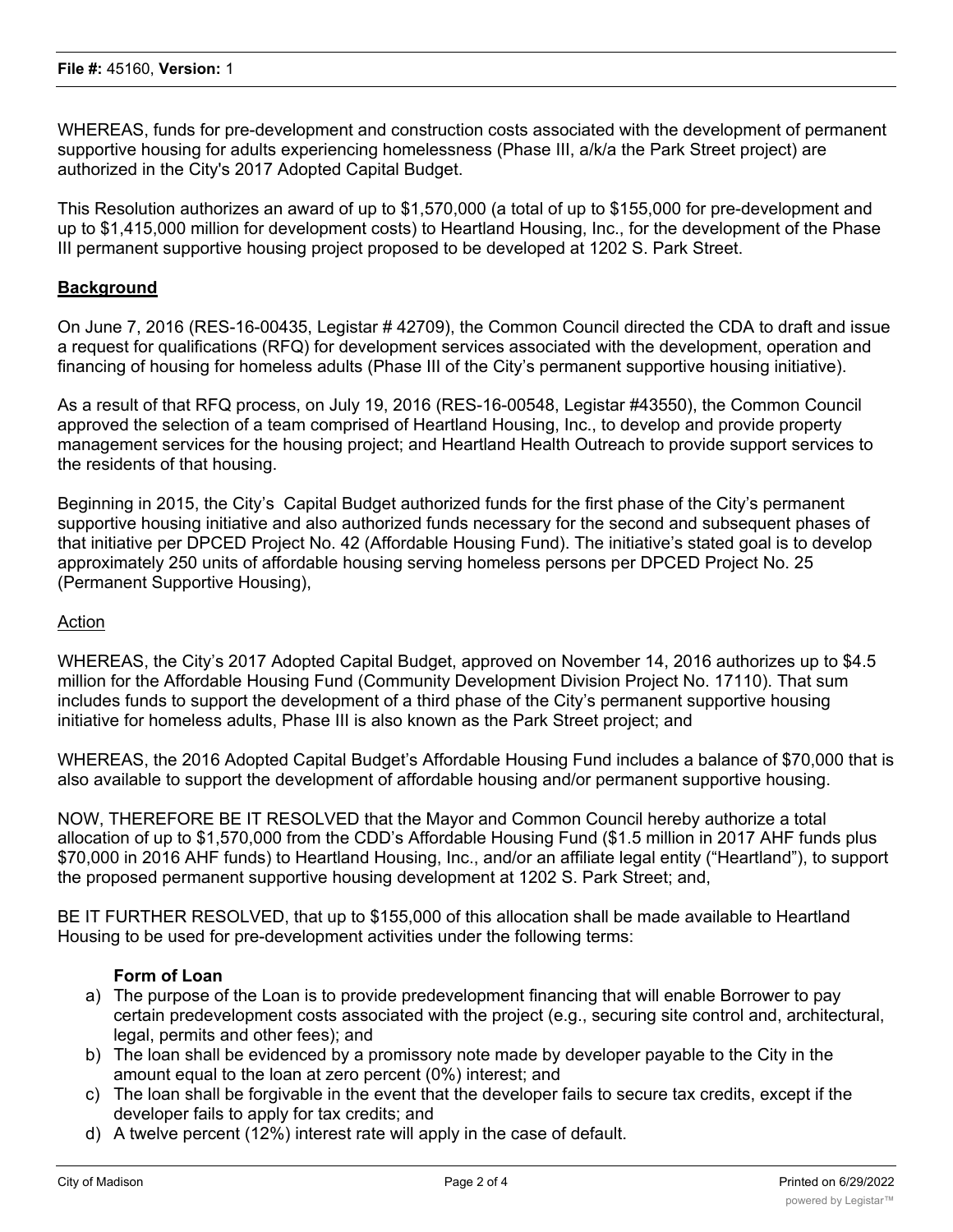WHEREAS, funds for pre-development and construction costs associated with the development of permanent supportive housing for adults experiencing homelessness (Phase III, a/k/a the Park Street project) are authorized in the City's 2017 Adopted Capital Budget.

This Resolution authorizes an award of up to \$1,570,000 (a total of up to \$155,000 for pre-development and up to \$1,415,000 million for development costs) to Heartland Housing, Inc., for the development of the Phase III permanent supportive housing project proposed to be developed at 1202 S. Park Street.

### **Background**

On June 7, 2016 (RES-16-00435, Legistar # 42709), the Common Council directed the CDA to draft and issue a request for qualifications (RFQ) for development services associated with the development, operation and financing of housing for homeless adults (Phase III of the City's permanent supportive housing initiative).

As a result of that RFQ process, on July 19, 2016 (RES-16-00548, Legistar #43550), the Common Council approved the selection of a team comprised of Heartland Housing, Inc., to develop and provide property management services for the housing project; and Heartland Health Outreach to provide support services to the residents of that housing.

Beginning in 2015, the City's Capital Budget authorized funds for the first phase of the City's permanent supportive housing initiative and also authorized funds necessary for the second and subsequent phases of that initiative per DPCED Project No. 42 (Affordable Housing Fund). The initiative's stated goal is to develop approximately 250 units of affordable housing serving homeless persons per DPCED Project No. 25 (Permanent Supportive Housing),

#### Action

WHEREAS, the City's 2017 Adopted Capital Budget, approved on November 14, 2016 authorizes up to \$4.5 million for the Affordable Housing Fund (Community Development Division Project No. 17110). That sum includes funds to support the development of a third phase of the City's permanent supportive housing initiative for homeless adults, Phase III is also known as the Park Street project; and

WHEREAS, the 2016 Adopted Capital Budget's Affordable Housing Fund includes a balance of \$70,000 that is also available to support the development of affordable housing and/or permanent supportive housing.

NOW, THEREFORE BE IT RESOLVED that the Mayor and Common Council hereby authorize a total allocation of up to \$1,570,000 from the CDD's Affordable Housing Fund (\$1.5 million in 2017 AHF funds plus \$70,000 in 2016 AHF funds) to Heartland Housing, Inc., and/or an affiliate legal entity ("Heartland"), to support the proposed permanent supportive housing development at 1202 S. Park Street; and,

BE IT FURTHER RESOLVED, that up to \$155,000 of this allocation shall be made available to Heartland Housing to be used for pre-development activities under the following terms:

### **Form of Loan**

- a) The purpose of the Loan is to provide predevelopment financing that will enable Borrower to pay certain predevelopment costs associated with the project (e.g., securing site control and, architectural, legal, permits and other fees); and
- b) The loan shall be evidenced by a promissory note made by developer payable to the City in the amount equal to the loan at zero percent (0%) interest; and
- c) The loan shall be forgivable in the event that the developer fails to secure tax credits, except if the developer fails to apply for tax credits; and
- d) A twelve percent (12%) interest rate will apply in the case of default.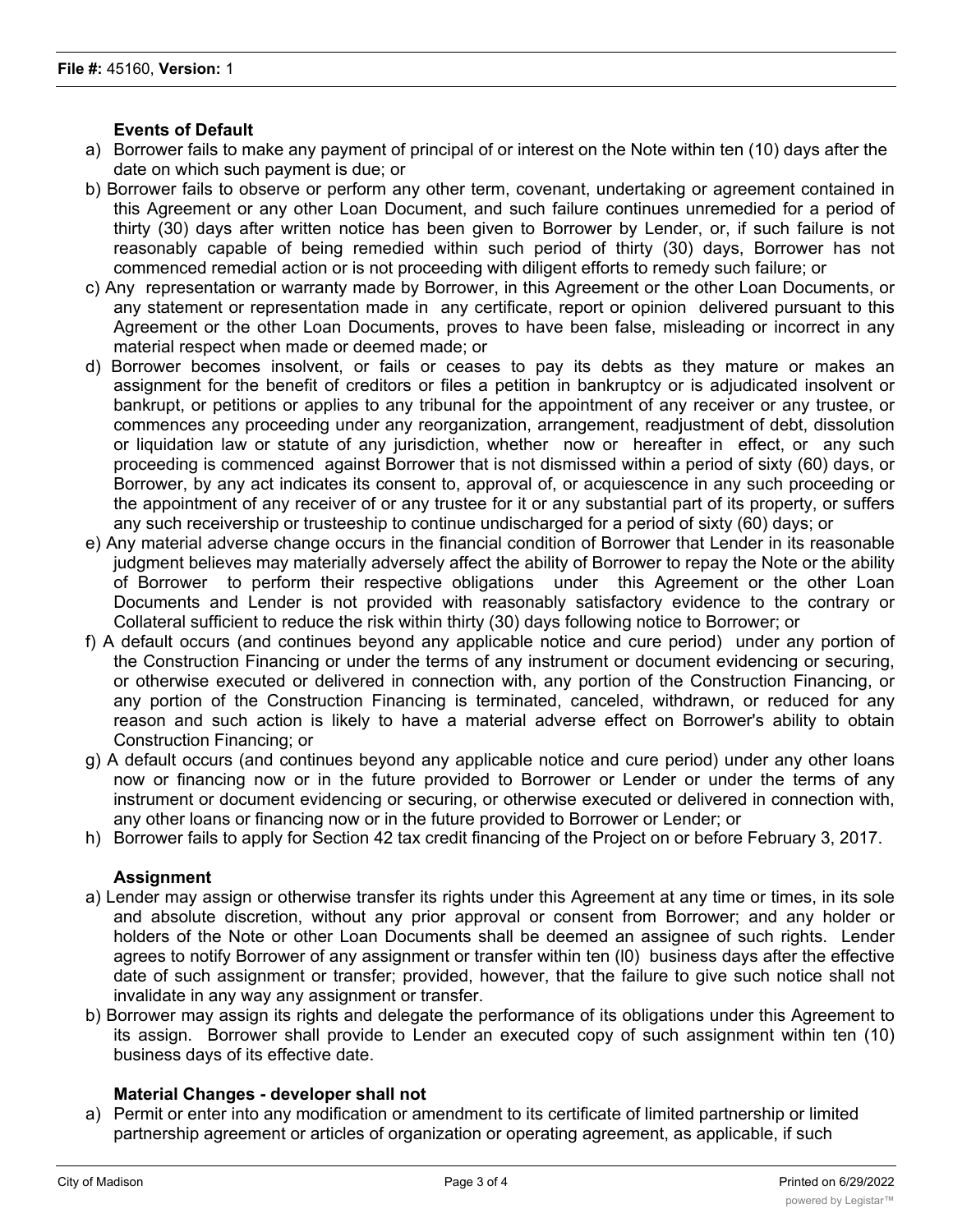# **Events of Default**

- a) Borrower fails to make any payment of principal of or interest on the Note within ten (10) days after the date on which such payment is due; or
- b) Borrower fails to observe or perform any other term, covenant, undertaking or agreement contained in this Agreement or any other Loan Document, and such failure continues unremedied for a period of thirty (30) days after written notice has been given to Borrower by Lender, or, if such failure is not reasonably capable of being remedied within such period of thirty (30) days, Borrower has not commenced remedial action or is not proceeding with diligent efforts to remedy such failure; or
- c) Any representation or warranty made by Borrower, in this Agreement or the other Loan Documents, or any statement or representation made in any certificate, report or opinion delivered pursuant to this Agreement or the other Loan Documents, proves to have been false, misleading or incorrect in any material respect when made or deemed made; or
- d) Borrower becomes insolvent, or fails or ceases to pay its debts as they mature or makes an assignment for the benefit of creditors or files a petition in bankruptcy or is adjudicated insolvent or bankrupt, or petitions or applies to any tribunal for the appointment of any receiver or any trustee, or commences any proceeding under any reorganization, arrangement, readjustment of debt, dissolution or liquidation law or statute of any jurisdiction, whether now or hereafter in effect, or any such proceeding is commenced against Borrower that is not dismissed within a period of sixty (60) days, or Borrower, by any act indicates its consent to, approval of, or acquiescence in any such proceeding or the appointment of any receiver of or any trustee for it or any substantial part of its property, or suffers any such receivership or trusteeship to continue undischarged for a period of sixty (60) days; or
- e) Any material adverse change occurs in the financial condition of Borrower that Lender in its reasonable judgment believes may materially adversely affect the ability of Borrower to repay the Note or the ability of Borrower to perform their respective obligations under this Agreement or the other Loan Documents and Lender is not provided with reasonably satisfactory evidence to the contrary or Collateral sufficient to reduce the risk within thirty (30) days following notice to Borrower; or
- f) A default occurs (and continues beyond any applicable notice and cure period) under any portion of the Construction Financing or under the terms of any instrument or document evidencing or securing, or otherwise executed or delivered in connection with, any portion of the Construction Financing, or any portion of the Construction Financing is terminated, canceled, withdrawn, or reduced for any reason and such action is likely to have a material adverse effect on Borrower's ability to obtain Construction Financing; or
- g) A default occurs (and continues beyond any applicable notice and cure period) under any other loans now or financing now or in the future provided to Borrower or Lender or under the terms of any instrument or document evidencing or securing, or otherwise executed or delivered in connection with, any other loans or financing now or in the future provided to Borrower or Lender; or
- h) Borrower fails to apply for Section 42 tax credit financing of the Project on or before February 3, 2017.

### **Assignment**

- a) Lender may assign or otherwise transfer its rights under this Agreement at any time or times, in its sole and absolute discretion, without any prior approval or consent from Borrower; and any holder or holders of the Note or other Loan Documents shall be deemed an assignee of such rights. Lender agrees to notify Borrower of any assignment or transfer within ten (l0) business days after the effective date of such assignment or transfer; provided, however, that the failure to give such notice shall not invalidate in any way any assignment or transfer.
- b) Borrower may assign its rights and delegate the performance of its obligations under this Agreement to its assign. Borrower shall provide to Lender an executed copy of such assignment within ten (10) business days of its effective date.

## **Material Changes - developer shall not**

a) Permit or enter into any modification or amendment to its certificate of limited partnership or limited partnership agreement or articles of organization or operating agreement, as applicable, if such